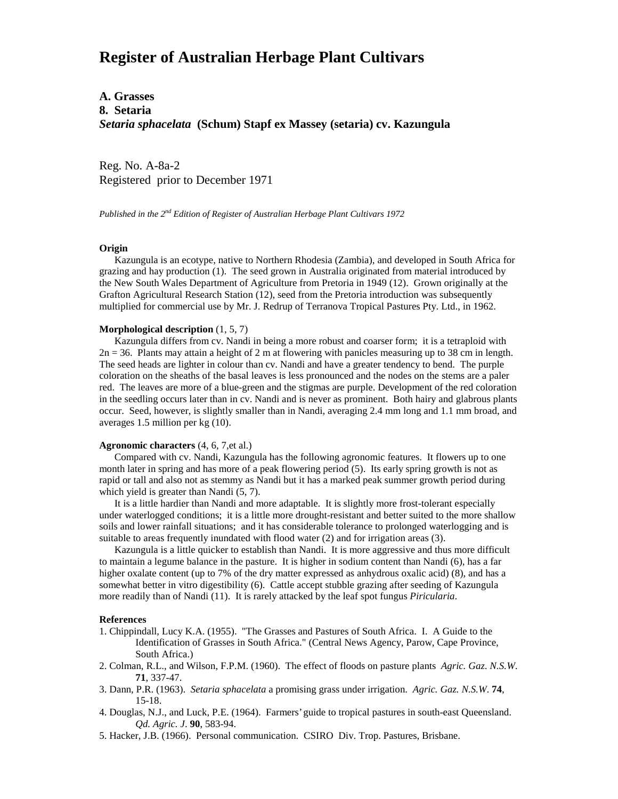# **Register of Australian Herbage Plant Cultivars**

# **A. Grasses 8. Setaria** *Setaria sphacelata* **(Schum) Stapf ex Massey (setaria) cv. Kazungula**

Reg. No. A-8a-2 Registered prior to December 1971

*Published in the 2nd Edition of Register of Australian Herbage Plant Cultivars 1972*

### **Origin**

 Kazungula is an ecotype, native to Northern Rhodesia (Zambia), and developed in South Africa for grazing and hay production (1). The seed grown in Australia originated from material introduced by the New South Wales Department of Agriculture from Pretoria in 1949 (12). Grown originally at the Grafton Agricultural Research Station (12), seed from the Pretoria introduction was subsequently multiplied for commercial use by Mr. J. Redrup of Terranova Tropical Pastures Pty. Ltd., in 1962.

#### **Morphological description** (1, 5, 7)

 Kazungula differs from cv. Nandi in being a more robust and coarser form; it is a tetraploid with  $2n = 36$ . Plants may attain a height of 2 m at flowering with panicles measuring up to 38 cm in length. The seed heads are lighter in colour than cv. Nandi and have a greater tendency to bend. The purple coloration on the sheaths of the basal leaves is less pronounced and the nodes on the stems are a paler red. The leaves are more of a blue-green and the stigmas are purple. Development of the red coloration in the seedling occurs later than in cv. Nandi and is never as prominent. Both hairy and glabrous plants occur. Seed, however, is slightly smaller than in Nandi, averaging 2.4 mm long and 1.1 mm broad, and averages 1.5 million per kg (10).

## **Agronomic characters** (4, 6, 7,et al.)

 Compared with cv. Nandi, Kazungula has the following agronomic features. It flowers up to one month later in spring and has more of a peak flowering period (5). Its early spring growth is not as rapid or tall and also not as stemmy as Nandi but it has a marked peak summer growth period during which yield is greater than Nandi  $(5, 7)$ .

 It is a little hardier than Nandi and more adaptable. It is slightly more frost-tolerant especially under waterlogged conditions; it is a little more drought-resistant and better suited to the more shallow soils and lower rainfall situations; and it has considerable tolerance to prolonged waterlogging and is suitable to areas frequently inundated with flood water (2) and for irrigation areas (3).

 Kazungula is a little quicker to establish than Nandi. It is more aggressive and thus more difficult to maintain a legume balance in the pasture. It is higher in sodium content than Nandi (6), has a far higher oxalate content (up to 7% of the dry matter expressed as anhydrous oxalic acid) (8), and has a somewhat better in vitro digestibility (6). Cattle accept stubble grazing after seeding of Kazungula more readily than of Nandi (11). It is rarely attacked by the leaf spot fungus *Piricularia*.

#### **References**

- 1. Chippindall, Lucy K.A. (1955). "The Grasses and Pastures of South Africa. I. A Guide to the Identification of Grasses in South Africa." (Central News Agency, Parow, Cape Province, South Africa.)
- 2. Colman, R.L., and Wilson, F.P.M. (1960). The effect of floods on pasture plants *Agric. Gaz*. *N.S.W*. **71**, 337-47.
- 3. Dann, P.R. (1963). *Setaria sphacelata* a promising grass under irrigation. *Agric. Gaz. N.S.W*. **74**, 15-18.
- 4. Douglas, N.J., and Luck, P.E. (1964). Farmers' guide to tropical pastures in south-east Queensland. *Qd. Agric. J*. **90**, 583-94.
- 5. Hacker, J.B. (1966). Personal communication. CSIRO Div. Trop. Pastures, Brisbane.